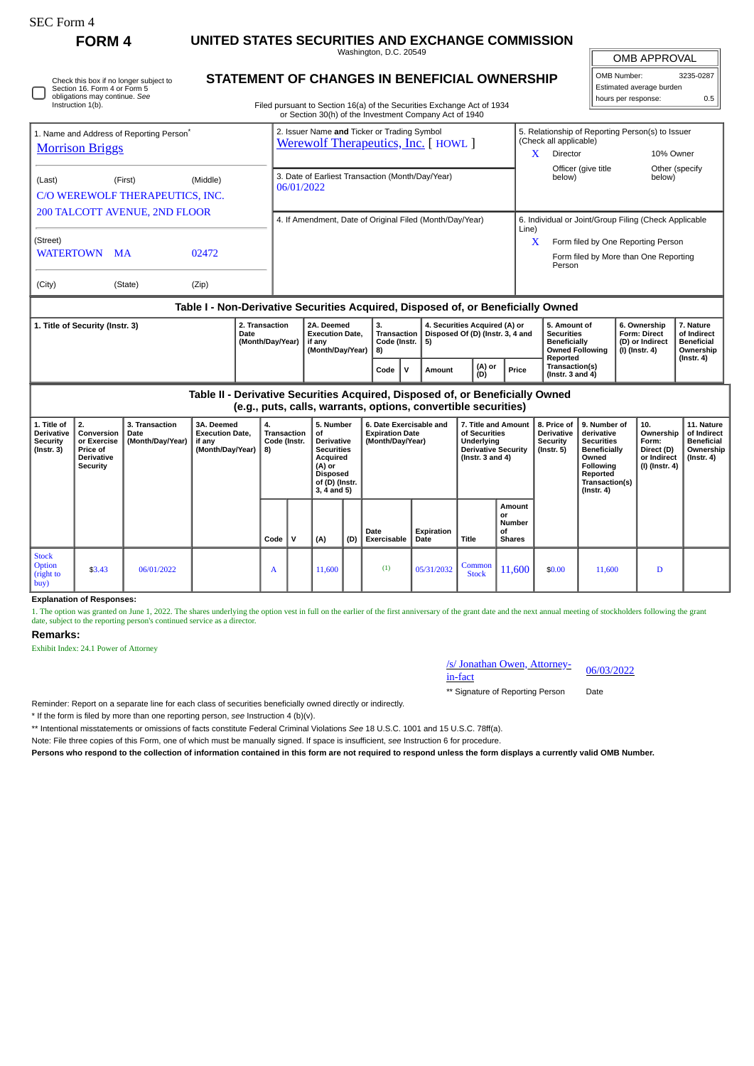| <b>SEC Form 4</b>                                                                                                                                                            | FORM <sub>4</sub>                                                                   |                                            | UNITED STATES SECURITIES AND EXCHANGE COMMISSION                                 |          |                                                                                   |                                                                                                                                       |                     |                                                                                                                                  |                    |               |                                                                                                          |                                                      |                                                                                                           |                                                                                                                                         |                                                               |                                                                          |                                                                                 |  |
|------------------------------------------------------------------------------------------------------------------------------------------------------------------------------|-------------------------------------------------------------------------------------|--------------------------------------------|----------------------------------------------------------------------------------|----------|-----------------------------------------------------------------------------------|---------------------------------------------------------------------------------------------------------------------------------------|---------------------|----------------------------------------------------------------------------------------------------------------------------------|--------------------|---------------|----------------------------------------------------------------------------------------------------------|------------------------------------------------------|-----------------------------------------------------------------------------------------------------------|-----------------------------------------------------------------------------------------------------------------------------------------|---------------------------------------------------------------|--------------------------------------------------------------------------|---------------------------------------------------------------------------------|--|
|                                                                                                                                                                              |                                                                                     |                                            |                                                                                  |          |                                                                                   | Washington, D.C. 20549                                                                                                                |                     |                                                                                                                                  |                    |               |                                                                                                          |                                                      |                                                                                                           |                                                                                                                                         |                                                               | <b>OMB APPROVAL</b>                                                      |                                                                                 |  |
| STATEMENT OF CHANGES IN BENEFICIAL OWNERSHIP<br>Check this box if no longer subject to<br>Section 16. Form 4 or Form 5<br>obligations may continue. See<br>Instruction 1(b). |                                                                                     |                                            |                                                                                  |          |                                                                                   |                                                                                                                                       |                     | Filed pursuant to Section 16(a) of the Securities Exchange Act of 1934<br>or Section 30(h) of the Investment Company Act of 1940 |                    |               | OMB Number:<br>hours per response:                                                                       |                                                      |                                                                                                           | Estimated average burden                                                                                                                | 3235-0287<br>0.5                                              |                                                                          |                                                                                 |  |
| 1. Name and Address of Reporting Person <sup>®</sup><br><b>Morrison Briggs</b>                                                                                               |                                                                                     |                                            |                                                                                  |          | 2. Issuer Name and Ticker or Trading Symbol<br>Werewolf Therapeutics, Inc. [HOWL] |                                                                                                                                       |                     |                                                                                                                                  |                    |               |                                                                                                          |                                                      | (Check all applicable)<br>X<br>Director                                                                   |                                                                                                                                         | 5. Relationship of Reporting Person(s) to Issuer<br>10% Owner |                                                                          |                                                                                 |  |
| (First)<br>(Middle)<br>(Last)<br>C/O WEREWOLF THERAPEUTICS, INC.                                                                                                             |                                                                                     |                                            |                                                                                  |          | 3. Date of Earliest Transaction (Month/Day/Year)<br>06/01/2022                    |                                                                                                                                       |                     |                                                                                                                                  |                    |               |                                                                                                          |                                                      | Officer (give title<br>Other (specify<br>below)<br>below)                                                 |                                                                                                                                         |                                                               |                                                                          |                                                                                 |  |
| <b>200 TALCOTT AVENUE, 2ND FLOOR</b><br>(Street)                                                                                                                             |                                                                                     |                                            |                                                                                  |          | 4. If Amendment, Date of Original Filed (Month/Day/Year)                          |                                                                                                                                       |                     |                                                                                                                                  |                    |               |                                                                                                          |                                                      | 6. Individual or Joint/Group Filing (Check Applicable<br>Line)<br>X<br>Form filed by One Reporting Person |                                                                                                                                         |                                                               |                                                                          |                                                                                 |  |
| <b>WATERTOWN</b><br>02472<br><b>MA</b><br>(Zip)                                                                                                                              |                                                                                     |                                            |                                                                                  |          |                                                                                   |                                                                                                                                       |                     |                                                                                                                                  |                    |               |                                                                                                          |                                                      | Form filed by More than One Reporting<br>Person                                                           |                                                                                                                                         |                                                               |                                                                          |                                                                                 |  |
| (City)                                                                                                                                                                       |                                                                                     | (State)                                    |                                                                                  |          |                                                                                   |                                                                                                                                       |                     |                                                                                                                                  |                    |               |                                                                                                          |                                                      |                                                                                                           |                                                                                                                                         |                                                               |                                                                          |                                                                                 |  |
|                                                                                                                                                                              |                                                                                     |                                            | Table I - Non-Derivative Securities Acquired, Disposed of, or Beneficially Owned |          |                                                                                   |                                                                                                                                       |                     |                                                                                                                                  |                    |               |                                                                                                          |                                                      |                                                                                                           |                                                                                                                                         |                                                               |                                                                          |                                                                                 |  |
| 2. Transaction<br>1. Title of Security (Instr. 3)<br>Date<br>(Month/Day/Year)                                                                                                |                                                                                     |                                            |                                                                                  |          |                                                                                   | 2A. Deemed<br><b>Execution Date.</b><br>if any<br>(Month/Day/Year)                                                                    |                     | 3.<br><b>Transaction</b><br>Code (Instr.<br>8)                                                                                   | 5)                 |               | 4. Securities Acquired (A) or<br>Disposed Of (D) (Instr. 3, 4 and                                        |                                                      | 5. Amount of<br><b>Securities</b><br><b>Beneficially</b><br><b>Owned Following</b>                        |                                                                                                                                         |                                                               | 6. Ownership<br><b>Form: Direct</b><br>(D) or Indirect<br>(I) (Instr. 4) | 7. Nature<br>of Indirect<br><b>Beneficial</b><br>Ownership                      |  |
|                                                                                                                                                                              |                                                                                     |                                            |                                                                                  |          |                                                                                   |                                                                                                                                       | $\mathbf v$<br>Code | Amount                                                                                                                           |                    | (A) or<br>(D) | Price                                                                                                    | Reported<br>Transaction(s)<br>(Instr. 3 and $4$ )    |                                                                                                           |                                                                                                                                         |                                                               | $($ Instr. 4 $)$                                                         |                                                                                 |  |
|                                                                                                                                                                              |                                                                                     |                                            | Table II - Derivative Securities Acquired, Disposed of, or Beneficially Owned    |          |                                                                                   |                                                                                                                                       |                     | (e.g., puts, calls, warrants, options, convertible securities)                                                                   |                    |               |                                                                                                          |                                                      |                                                                                                           |                                                                                                                                         |                                                               |                                                                          |                                                                                 |  |
| 1. Title of<br><b>Derivative</b><br><b>Security</b><br>$($ Instr. 3 $)$                                                                                                      | 2.<br>Conversion<br>or Exercise<br>Price of<br><b>Derivative</b><br><b>Security</b> | 3. Transaction<br>Date<br>(Month/Day/Year) | 3A. Deemed<br><b>Execution Date,</b><br>if any<br>(Month/Day/Year)               | 4.<br>8) | Transaction<br>Code (Instr.                                                       | 5. Number<br>οf<br>Derivative<br><b>Securities</b><br><b>Acquired</b><br>$(A)$ or<br><b>Disposed</b><br>of (D) (Instr.<br>3, 4 and 5) |                     | 6. Date Exercisable and<br><b>Expiration Date</b><br>(Month/Day/Year)                                                            |                    |               | 7. Title and Amount<br>of Securities<br>Underlying<br><b>Derivative Security</b><br>( $lnstr. 3 and 4$ ) |                                                      | 8. Price of<br><b>Derivative</b><br><b>Security</b><br>$($ lnstr. 5 $)$                                   | 9. Number of<br>derivative<br><b>Securities</b><br>Beneficially<br>Owned<br>Following<br>Reported<br>Transaction(s)<br>$($ Instr. 4 $)$ |                                                               | 10.<br>Ownership<br>Form:<br>Direct (D)<br>or Indirect<br>(I) (Instr. 4) | 11. Nature<br>of Indirect<br><b>Beneficial</b><br>Ownership<br>$($ Instr. 4 $)$ |  |
|                                                                                                                                                                              |                                                                                     |                                            |                                                                                  | Code     | $\mathsf{v}$                                                                      | (A)                                                                                                                                   | (D)                 | Date<br>Exercisable                                                                                                              | Expiration<br>Date |               | Title                                                                                                    | <b>Amount</b><br>or<br>Number<br>οf<br><b>Shares</b> |                                                                                                           |                                                                                                                                         |                                                               |                                                                          |                                                                                 |  |
| <b>Stock</b><br>Option<br>(right to<br>buv                                                                                                                                   | \$3.43                                                                              | 06/01/2022                                 |                                                                                  | A        |                                                                                   | 11,600                                                                                                                                |                     | (1)                                                                                                                              | 05/31/2032         |               | Common<br><b>Stock</b>                                                                                   | 11,600                                               | \$0.00                                                                                                    | 11,600                                                                                                                                  |                                                               | D                                                                        |                                                                                 |  |

**Explanation of Responses:**

1. The option was granted on June 1, 2022. The shares underlying the option vest in full on the earlier of the first anniversary of the grant date and the next annual meeting of stockholders following the grant date, subject to the reporting person's continued service as a director.

## **Remarks:**

Exhibit Index: 24.1 Power of Attorney

## /s/ Jonathan Owen, Attorney-<br>in-fact

\*\* Signature of Reporting Person Date

Reminder: Report on a separate line for each class of securities beneficially owned directly or indirectly.

\* If the form is filed by more than one reporting person, *see* Instruction 4 (b)(v).

\*\* Intentional misstatements or omissions of facts constitute Federal Criminal Violations *See* 18 U.S.C. 1001 and 15 U.S.C. 78ff(a).

Note: File three copies of this Form, one of which must be manually signed. If space is insufficient, *see* Instruction 6 for procedure.

**Persons who respond to the collection of information contained in this form are not required to respond unless the form displays a currently valid OMB Number.**